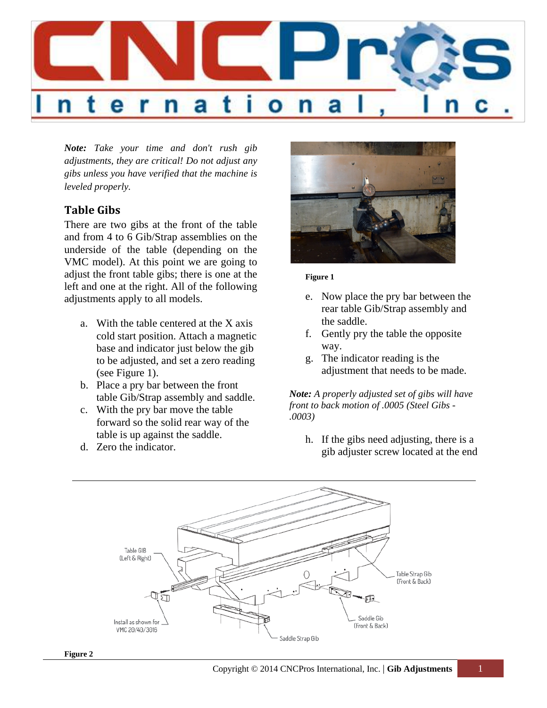

*Note: Take your time and don't rush gib adjustments, they are critical! Do not adjust any gibs unless you have verified that the machine is leveled properly.*

### **Table Gibs**

There are two gibs at the front of the table and from 4 to 6 Gib/Strap assemblies on the underside of the table (depending on the VMC model). At this point we are going to adjust the front table gibs; there is one at the left and one at the right. All of the following adjustments apply to all models.

- a. With the table centered at the X axis cold start position. Attach a magnetic base and indicator just below the gib to be adjusted, and set a zero reading (see Figure 1).
- b. Place a pry bar between the front table Gib/Strap assembly and saddle.
- c. With the pry bar move the table forward so the solid rear way of the table is up against the saddle.
- d. Zero the indicator.



#### **Figure 1**

- e. Now place the pry bar between the rear table Gib/Strap assembly and the saddle.
- f. Gently pry the table the opposite way.
- g. The indicator reading is the adjustment that needs to be made.

*Note: A properly adjusted set of gibs will have front to back motion of .0005 (Steel Gibs - .0003)*

h. If the gibs need adjusting, there is a gib adjuster screw located at the end

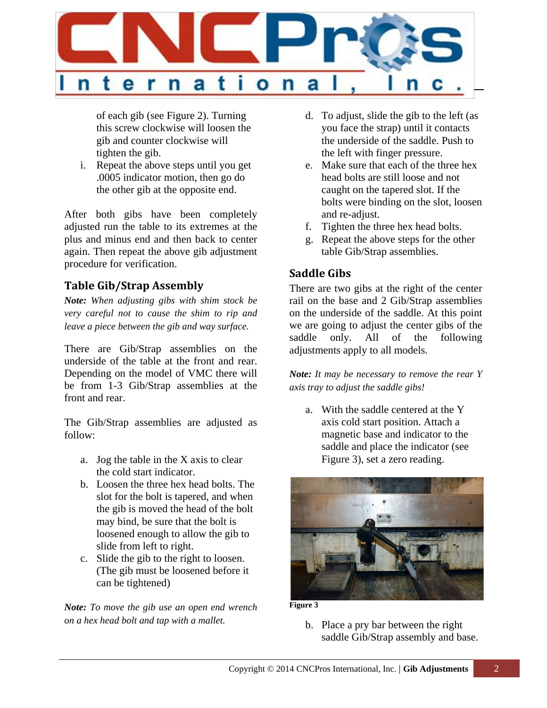

of each gib (see Figure 2). Turning this screw clockwise will loosen the gib and counter clockwise will tighten the gib.

i. Repeat the above steps until you get .0005 indicator motion, then go do the other gib at the opposite end.

After both gibs have been completely adjusted run the table to its extremes at the plus and minus end and then back to center again. Then repeat the above gib adjustment procedure for verification.

# **Table Gib/Strap Assembly**

*Note: When adjusting gibs with shim stock be very careful not to cause the shim to rip and leave a piece between the gib and way surface.*

There are Gib/Strap assemblies on the underside of the table at the front and rear. Depending on the model of VMC there will be from 1-3 Gib/Strap assemblies at the front and rear.

The Gib/Strap assemblies are adjusted as follow:

- a. Jog the table in the X axis to clear the cold start indicator.
- b. Loosen the three hex head bolts. The slot for the bolt is tapered, and when the gib is moved the head of the bolt may bind, be sure that the bolt is loosened enough to allow the gib to slide from left to right.
- c. Slide the gib to the right to loosen. (The gib must be loosened before it can be tightened)

*Note: To move the gib use an open end wrench on a hex head bolt and tap with a mallet.*

- d. To adjust, slide the gib to the left (as you face the strap) until it contacts the underside of the saddle. Push to the left with finger pressure.
- e. Make sure that each of the three hex head bolts are still loose and not caught on the tapered slot. If the bolts were binding on the slot, loosen and re-adjust.
- f. Tighten the three hex head bolts.
- g. Repeat the above steps for the other table Gib/Strap assemblies.

# **Saddle Gibs**

There are two gibs at the right of the center rail on the base and 2 Gib/Strap assemblies on the underside of the saddle. At this point we are going to adjust the center gibs of the saddle only. All of the following adjustments apply to all models.

*Note: It may be necessary to remove the rear Y axis tray to adjust the saddle gibs!*

a. With the saddle centered at the Y axis cold start position. Attach a magnetic base and indicator to the saddle and place the indicator (see Figure 3), set a zero reading.



**Figure 3**

b. Place a pry bar between the right saddle Gib/Strap assembly and base.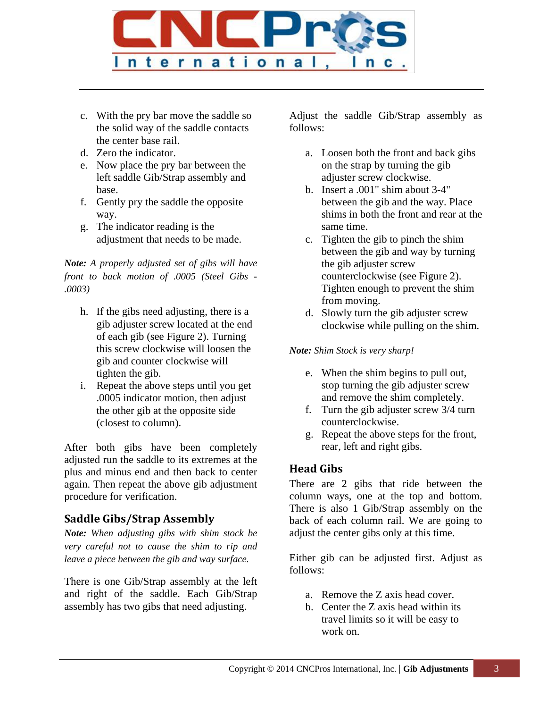

- c. With the pry bar move the saddle so the solid way of the saddle contacts the center base rail.
- d. Zero the indicator.
- e. Now place the pry bar between the left saddle Gib/Strap assembly and base.
- f. Gently pry the saddle the opposite way.
- g. The indicator reading is the adjustment that needs to be made.

*Note: A properly adjusted set of gibs will have front to back motion of .0005 (Steel Gibs - .0003)*

- h. If the gibs need adjusting, there is a gib adjuster screw located at the end of each gib (see Figure 2). Turning this screw clockwise will loosen the gib and counter clockwise will tighten the gib.
- i. Repeat the above steps until you get .0005 indicator motion, then adjust the other gib at the opposite side (closest to column).

After both gibs have been completely adjusted run the saddle to its extremes at the plus and minus end and then back to center again. Then repeat the above gib adjustment procedure for verification.

# **Saddle Gibs/Strap Assembly**

*Note: When adjusting gibs with shim stock be very careful not to cause the shim to rip and leave a piece between the gib and way surface.*

There is one Gib/Strap assembly at the left and right of the saddle. Each Gib/Strap assembly has two gibs that need adjusting.

Adjust the saddle Gib/Strap assembly as follows:

- a. Loosen both the front and back gibs on the strap by turning the gib adjuster screw clockwise.
- b. Insert a .001" shim about 3-4" between the gib and the way. Place shims in both the front and rear at the same time.
- c. Tighten the gib to pinch the shim between the gib and way by turning the gib adjuster screw counterclockwise (see Figure 2). Tighten enough to prevent the shim from moving.
- d. Slowly turn the gib adjuster screw clockwise while pulling on the shim.

#### *Note: Shim Stock is very sharp!*

- e. When the shim begins to pull out, stop turning the gib adjuster screw and remove the shim completely.
- f. Turn the gib adjuster screw 3/4 turn counterclockwise.
- g. Repeat the above steps for the front, rear, left and right gibs.

# **Head Gibs**

There are 2 gibs that ride between the column ways, one at the top and bottom. There is also 1 Gib/Strap assembly on the back of each column rail. We are going to adjust the center gibs only at this time.

Either gib can be adjusted first. Adjust as follows:

- a. Remove the Z axis head cover.
- b. Center the Z axis head within its travel limits so it will be easy to work on.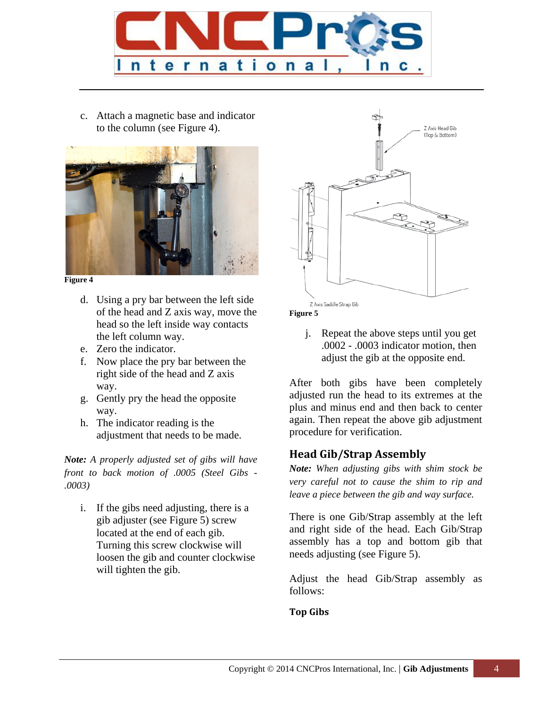

c. Attach a magnetic base and indicator to the column (see Figure 4).



**Figure 4**

- d. Using a pry bar between the left side of the head and Z axis way, move the head so the left inside way contacts the left column way.
- e. Zero the indicator.
- f. Now place the pry bar between the right side of the head and Z axis way.
- g. Gently pry the head the opposite way.
- h. The indicator reading is the adjustment that needs to be made.

*Note: A properly adjusted set of gibs will have front to back motion of .0005 (Steel Gibs - .0003)*

i. If the gibs need adjusting, there is a gib adjuster (see Figure 5) screw located at the end of each gib. Turning this screw clockwise will loosen the gib and counter clockwise will tighten the gib.



**Figure 5**

j. Repeat the above steps until you get .0002 - .0003 indicator motion, then adjust the gib at the opposite end.

After both gibs have been completely adjusted run the head to its extremes at the plus and minus end and then back to center again. Then repeat the above gib adjustment procedure for verification.

### **Head Gib/Strap Assembly**

*Note: When adjusting gibs with shim stock be very careful not to cause the shim to rip and leave a piece between the gib and way surface.*

There is one Gib/Strap assembly at the left and right side of the head. Each Gib/Strap assembly has a top and bottom gib that needs adjusting (see Figure 5).

Adjust the head Gib/Strap assembly as follows:

#### **Top Gibs**